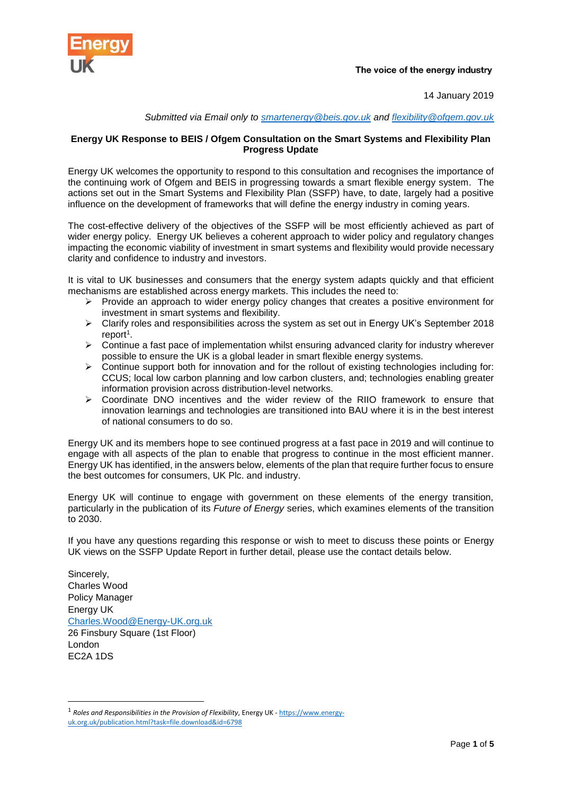

14 January 2019

## *Submitted via Email only to [smartenergy@beis.gov.uk](mailto:smartenergy@beis.gov.uk) and [flexibility@ofgem.gov.uk](mailto:flexibility@ofgem.gov.uk)*

## **Energy UK Response to BEIS / Ofgem Consultation on the Smart Systems and Flexibility Plan Progress Update**

Energy UK welcomes the opportunity to respond to this consultation and recognises the importance of the continuing work of Ofgem and BEIS in progressing towards a smart flexible energy system. The actions set out in the Smart Systems and Flexibility Plan (SSFP) have, to date, largely had a positive influence on the development of frameworks that will define the energy industry in coming years.

The cost-effective delivery of the objectives of the SSFP will be most efficiently achieved as part of wider energy policy. Energy UK believes a coherent approach to wider policy and regulatory changes impacting the economic viability of investment in smart systems and flexibility would provide necessary clarity and confidence to industry and investors.

It is vital to UK businesses and consumers that the energy system adapts quickly and that efficient mechanisms are established across energy markets. This includes the need to:

- $\triangleright$  Provide an approach to wider energy policy changes that creates a positive environment for investment in smart systems and flexibility.
- ➢ Clarify roles and responsibilities across the system as set out in Energy UK's September 2018 report<sup>1</sup>.
- ➢ Continue a fast pace of implementation whilst ensuring advanced clarity for industry wherever possible to ensure the UK is a global leader in smart flexible energy systems.
- ➢ Continue support both for innovation and for the rollout of existing technologies including for: CCUS; local low carbon planning and low carbon clusters, and; technologies enabling greater information provision across distribution-level networks.
- $\triangleright$  Coordinate DNO incentives and the wider review of the RIIO framework to ensure that innovation learnings and technologies are transitioned into BAU where it is in the best interest of national consumers to do so.

Energy UK and its members hope to see continued progress at a fast pace in 2019 and will continue to engage with all aspects of the plan to enable that progress to continue in the most efficient manner. Energy UK has identified, in the answers below, elements of the plan that require further focus to ensure the best outcomes for consumers, UK Plc. and industry.

Energy UK will continue to engage with government on these elements of the energy transition, particularly in the publication of its *Future of Energy* series, which examines elements of the transition to 2030.

If you have any questions regarding this response or wish to meet to discuss these points or Energy UK views on the SSFP Update Report in further detail, please use the contact details below.

Sincerely, Charles Wood Policy Manager Energy UK [Charles.Wood@Energy-UK.org.uk](mailto:Charles.Wood@Energy-UK.org.uk) 26 Finsbury Square (1st Floor) London EC2A 1DS

1

<sup>1</sup> *Roles and Responsibilities in the Provision of Flexibility*, Energy UK - [https://www.energy](https://www.energy-uk.org.uk/publication.html?task=file.download&id=6798)[uk.org.uk/publication.html?task=file.download&id=6798](https://www.energy-uk.org.uk/publication.html?task=file.download&id=6798)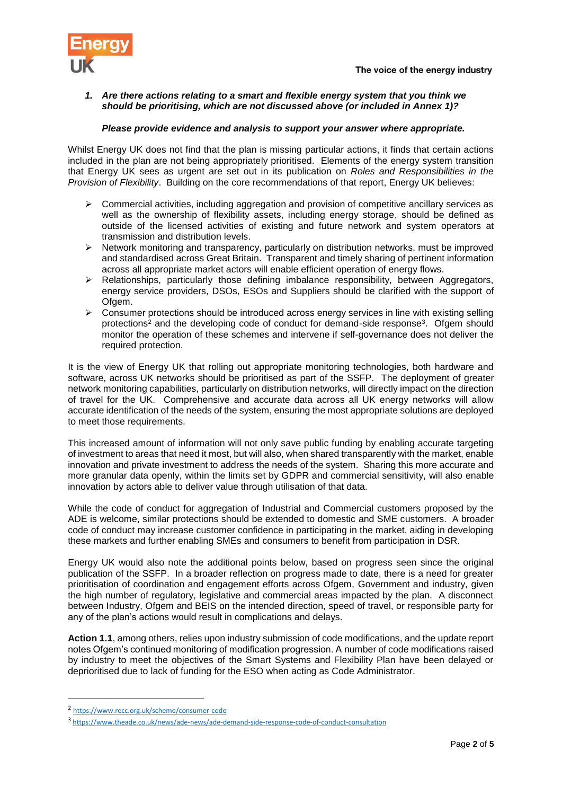

#### *1. Are there actions relating to a smart and flexible energy system that you think we should be prioritising, which are not discussed above (or included in Annex 1)?*

#### *Please provide evidence and analysis to support your answer where appropriate.*

Whilst Energy UK does not find that the plan is missing particular actions, it finds that certain actions included in the plan are not being appropriately prioritised. Elements of the energy system transition that Energy UK sees as urgent are set out in its publication on *Roles and Responsibilities in the Provision of Flexibility*. Building on the core recommendations of that report, Energy UK believes:

- $\triangleright$  Commercial activities, including aggregation and provision of competitive ancillary services as well as the ownership of flexibility assets, including energy storage, should be defined as outside of the licensed activities of existing and future network and system operators at transmission and distribution levels.
- $\triangleright$  Network monitoring and transparency, particularly on distribution networks, must be improved and standardised across Great Britain. Transparent and timely sharing of pertinent information across all appropriate market actors will enable efficient operation of energy flows.
- ➢ Relationships, particularly those defining imbalance responsibility, between Aggregators, energy service providers, DSOs, ESOs and Suppliers should be clarified with the support of Ofgem.
- $\triangleright$  Consumer protections should be introduced across energy services in line with existing selling protections<sup>2</sup> and the developing code of conduct for demand-side response<sup>3</sup>. Ofgem should monitor the operation of these schemes and intervene if self-governance does not deliver the required protection.

It is the view of Energy UK that rolling out appropriate monitoring technologies, both hardware and software, across UK networks should be prioritised as part of the SSFP. The deployment of greater network monitoring capabilities, particularly on distribution networks, will directly impact on the direction of travel for the UK. Comprehensive and accurate data across all UK energy networks will allow accurate identification of the needs of the system, ensuring the most appropriate solutions are deployed to meet those requirements.

This increased amount of information will not only save public funding by enabling accurate targeting of investment to areas that need it most, but will also, when shared transparently with the market, enable innovation and private investment to address the needs of the system. Sharing this more accurate and more granular data openly, within the limits set by GDPR and commercial sensitivity, will also enable innovation by actors able to deliver value through utilisation of that data.

While the code of conduct for aggregation of Industrial and Commercial customers proposed by the ADE is welcome, similar protections should be extended to domestic and SME customers. A broader code of conduct may increase customer confidence in participating in the market, aiding in developing these markets and further enabling SMEs and consumers to benefit from participation in DSR.

Energy UK would also note the additional points below, based on progress seen since the original publication of the SSFP. In a broader reflection on progress made to date, there is a need for greater prioritisation of coordination and engagement efforts across Ofgem, Government and industry, given the high number of regulatory, legislative and commercial areas impacted by the plan. A disconnect between Industry, Ofgem and BEIS on the intended direction, speed of travel, or responsible party for any of the plan's actions would result in complications and delays.

**Action 1.1**, among others, relies upon industry submission of code modifications, and the update report notes Ofgem's continued monitoring of modification progression. A number of code modifications raised by industry to meet the objectives of the Smart Systems and Flexibility Plan have been delayed or deprioritised due to lack of funding for the ESO when acting as Code Administrator.

 $\overline{a}$ 

<sup>2</sup> <https://www.recc.org.uk/scheme/consumer-code>

<sup>3</sup> <https://www.theade.co.uk/news/ade-news/ade-demand-side-response-code-of-conduct-consultation>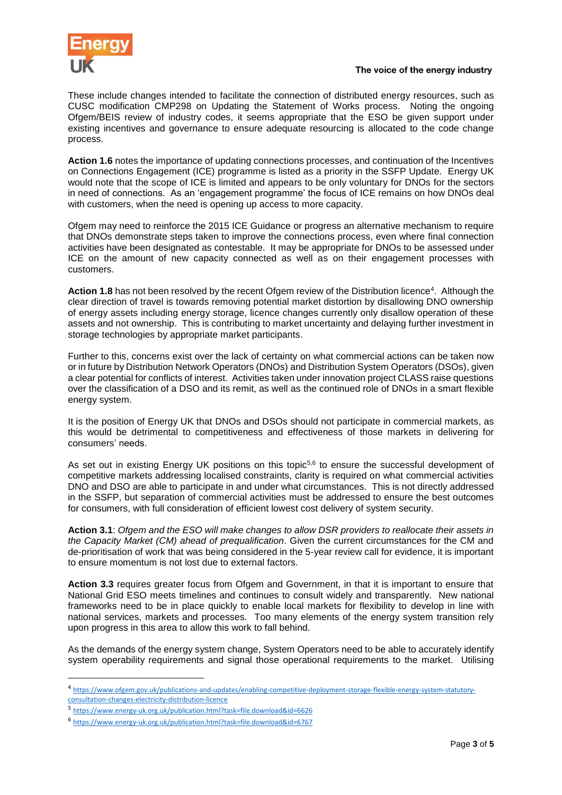

These include changes intended to facilitate the connection of distributed energy resources, such as CUSC modification CMP298 on Updating the Statement of Works process. Noting the ongoing Ofgem/BEIS review of industry codes, it seems appropriate that the ESO be given support under existing incentives and governance to ensure adequate resourcing is allocated to the code change process.

**Action 1.6** notes the importance of updating connections processes, and continuation of the Incentives on Connections Engagement (ICE) programme is listed as a priority in the SSFP Update. Energy UK would note that the scope of ICE is limited and appears to be only voluntary for DNOs for the sectors in need of connections. As an 'engagement programme' the focus of ICE remains on how DNOs deal with customers, when the need is opening up access to more capacity.

Ofgem may need to reinforce the 2015 ICE Guidance or progress an alternative mechanism to require that DNOs demonstrate steps taken to improve the connections process, even where final connection activities have been designated as contestable. It may be appropriate for DNOs to be assessed under ICE on the amount of new capacity connected as well as on their engagement processes with customers.

Action 1.8 has not been resolved by the recent Ofgem review of the Distribution licence<sup>4</sup>. Although the clear direction of travel is towards removing potential market distortion by disallowing DNO ownership of energy assets including energy storage, licence changes currently only disallow operation of these assets and not ownership. This is contributing to market uncertainty and delaying further investment in storage technologies by appropriate market participants.

Further to this, concerns exist over the lack of certainty on what commercial actions can be taken now or in future by Distribution Network Operators (DNOs) and Distribution System Operators (DSOs), given a clear potential for conflicts of interest. Activities taken under innovation project CLASS raise questions over the classification of a DSO and its remit, as well as the continued role of DNOs in a smart flexible energy system.

It is the position of Energy UK that DNOs and DSOs should not participate in commercial markets, as this would be detrimental to competitiveness and effectiveness of those markets in delivering for consumers' needs.

As set out in existing Energy UK positions on this topic<sup>5,6</sup> to ensure the successful development of competitive markets addressing localised constraints, clarity is required on what commercial activities DNO and DSO are able to participate in and under what circumstances. This is not directly addressed in the SSFP, but separation of commercial activities must be addressed to ensure the best outcomes for consumers, with full consideration of efficient lowest cost delivery of system security.

**Action 3.1**: *Ofgem and the ESO will make changes to allow DSR providers to reallocate their assets in the Capacity Market (CM) ahead of prequalification*. Given the current circumstances for the CM and de-prioritisation of work that was being considered in the 5-year review call for evidence, it is important to ensure momentum is not lost due to external factors.

**Action 3.3** requires greater focus from Ofgem and Government, in that it is important to ensure that National Grid ESO meets timelines and continues to consult widely and transparently. New national frameworks need to be in place quickly to enable local markets for flexibility to develop in line with national services, markets and processes. Too many elements of the energy system transition rely upon progress in this area to allow this work to fall behind.

As the demands of the energy system change, System Operators need to be able to accurately identify system operability requirements and signal those operational requirements to the market. Utilising

**.** 

<sup>4</sup> [https://www.ofgem.gov.uk/publications-and-updates/enabling-competitive-deployment-storage-flexible-energy-system-statutory](https://www.ofgem.gov.uk/publications-and-updates/enabling-competitive-deployment-storage-flexible-energy-system-statutory-consultation-changes-electricity-distribution-licence)[consultation-changes-electricity-distribution-licence](https://www.ofgem.gov.uk/publications-and-updates/enabling-competitive-deployment-storage-flexible-energy-system-statutory-consultation-changes-electricity-distribution-licence)

<sup>5</sup> <https://www.energy-uk.org.uk/publication.html?task=file.download&id=6626>

<sup>6</sup> <https://www.energy-uk.org.uk/publication.html?task=file.download&id=6767>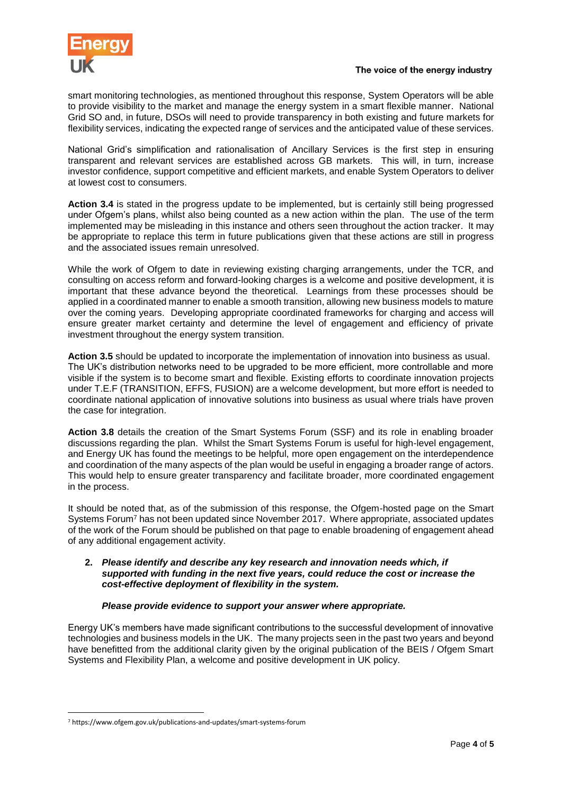

smart monitoring technologies, as mentioned throughout this response, System Operators will be able to provide visibility to the market and manage the energy system in a smart flexible manner. National Grid SO and, in future, DSOs will need to provide transparency in both existing and future markets for flexibility services, indicating the expected range of services and the anticipated value of these services.

National Grid's simplification and rationalisation of Ancillary Services is the first step in ensuring transparent and relevant services are established across GB markets. This will, in turn, increase investor confidence, support competitive and efficient markets, and enable System Operators to deliver at lowest cost to consumers.

**Action 3.4** is stated in the progress update to be implemented, but is certainly still being progressed under Ofgem's plans, whilst also being counted as a new action within the plan. The use of the term implemented may be misleading in this instance and others seen throughout the action tracker. It may be appropriate to replace this term in future publications given that these actions are still in progress and the associated issues remain unresolved.

While the work of Ofgem to date in reviewing existing charging arrangements, under the TCR, and consulting on access reform and forward-looking charges is a welcome and positive development, it is important that these advance beyond the theoretical. Learnings from these processes should be applied in a coordinated manner to enable a smooth transition, allowing new business models to mature over the coming years. Developing appropriate coordinated frameworks for charging and access will ensure greater market certainty and determine the level of engagement and efficiency of private investment throughout the energy system transition.

**Action 3.5** should be updated to incorporate the implementation of innovation into business as usual. The UK's distribution networks need to be upgraded to be more efficient, more controllable and more visible if the system is to become smart and flexible. Existing efforts to coordinate innovation projects under T.E.F (TRANSITION, EFFS, FUSION) are a welcome development, but more effort is needed to coordinate national application of innovative solutions into business as usual where trials have proven the case for integration.

**Action 3.8** details the creation of the Smart Systems Forum (SSF) and its role in enabling broader discussions regarding the plan. Whilst the Smart Systems Forum is useful for high-level engagement, and Energy UK has found the meetings to be helpful, more open engagement on the interdependence and coordination of the many aspects of the plan would be useful in engaging a broader range of actors. This would help to ensure greater transparency and facilitate broader, more coordinated engagement in the process.

It should be noted that, as of the submission of this response, the Ofgem-hosted page on the Smart Systems Forum<sup>7</sup> has not been updated since November 2017. Where appropriate, associated updates of the work of the Forum should be published on that page to enable broadening of engagement ahead of any additional engagement activity.

## **2.** *Please identify and describe any key research and innovation needs which, if supported with funding in the next five years, could reduce the cost or increase the cost-effective deployment of flexibility in the system.*

# *Please provide evidence to support your answer where appropriate.*

Energy UK's members have made significant contributions to the successful development of innovative technologies and business models in the UK. The many projects seen in the past two years and beyond have benefitted from the additional clarity given by the original publication of the BEIS / Ofgem Smart Systems and Flexibility Plan, a welcome and positive development in UK policy.

 $\overline{a}$ 

<sup>7</sup> https://www.ofgem.gov.uk/publications-and-updates/smart-systems-forum